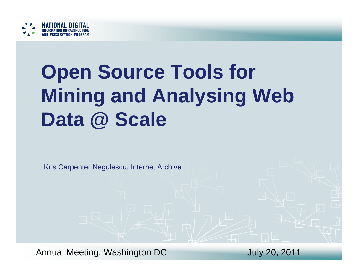

# **Open Source Tools for Mining and Analysing Web Data @ Scale**

Kris Carpenter Negulescu, Internet Archive

Annual Meeting, Washington DC 500 July 20, 2011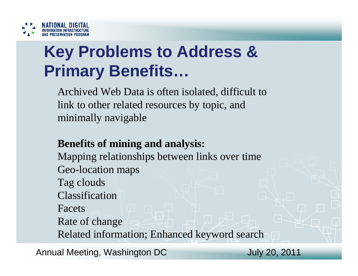

## **Key Problems to Address & Primary Benefits…**

Archived Web Data is often isolated, difficult to link to other related resources by topic, and minimally navigable

#### **Benefits of mining and analysis:**

Mapping relationships between links over time Geo-location maps Tag clouds ClassificationFacetsRate of change Related information; Enhanced keyword search

Annual Meeting, Washington DC 500 July 20, 2011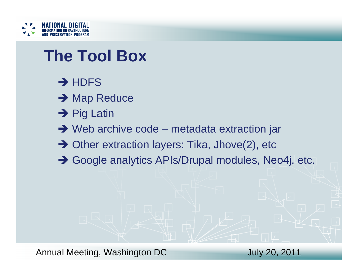

#### **The Tool Box**

- $\rightarrow$  HDFS
- **→ Map Reduce**
- $\rightarrow$  Pig Latin
- $\rightarrow$  Web archive code metadata extraction jar
- → Other extraction layers: Tika, Jhove(2), etc
- → Google analytics APIs/Drupal modules, Neo4j, etc.

Annual Meeting, Washington DC Martin 1999, 2011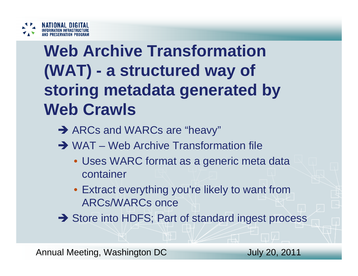

# **Web Archive Transformation (WAT) - a structured way of storing metadata generated by Web Crawls**

- → ARCs and WARCs are "heavy"
- **→ WAT** Web Archive Transformation file
	- Uses WARC format as a generic meta data container
	- Extract everything you're likely to want from ARCs/WARCs once
- → Store into HDFS; Part of standard ingest process

Annual Meeting, Washington DC 500 July 20, 2011